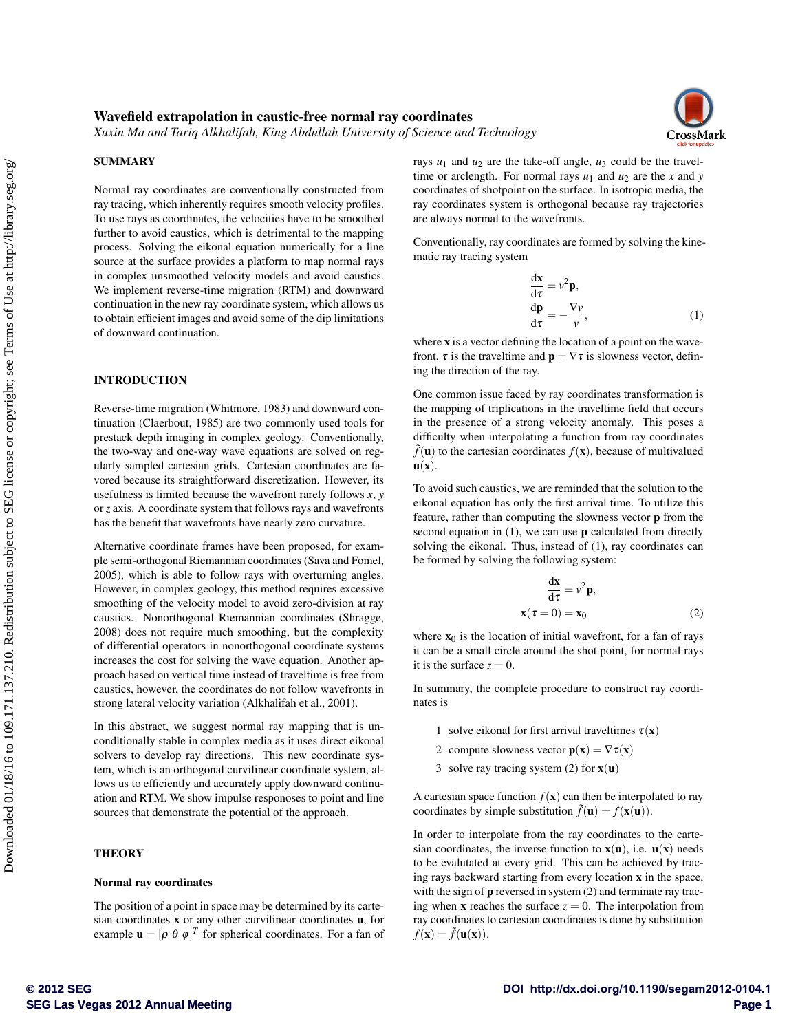# Wavefield extrapolation in caustic-free normal ray coordinates

*Xuxin Ma and Tariq Alkhalifah, King Abdullah University of Science and Technology*



# SUMMARY

Normal ray coordinates are conventionally constructed from ray tracing, which inherently requires smooth velocity profiles. To use rays as coordinates, the velocities have to be smoothed further to avoid caustics, which is detrimental to the mapping process. Solving the eikonal equation numerically for a line source at the surface provides a platform to map normal rays in complex unsmoothed velocity models and avoid caustics. We implement reverse-time migration (RTM) and downward continuation in the new ray coordinate system, which allows us to obtain efficient images and avoid some of the dip limitations of downward continuation.

## INTRODUCTION

Reverse-time migration (Whitmore, 1983) and downward continuation (Claerbout, 1985) are two commonly used tools for prestack depth imaging in complex geology. Conventionally, the two-way and one-way wave equations are solved on regularly sampled cartesian grids. Cartesian coordinates are favored because its straightforward discretization. However, its usefulness is limited because the wavefront rarely follows *x*, *y* or *z* axis. A coordinate system that follows rays and wavefronts has the benefit that wavefronts have nearly zero curvature.

Alternative coordinate frames have been proposed, for example semi-orthogonal Riemannian coordinates (Sava and Fomel, 2005), which is able to follow rays with overturning angles. However, in complex geology, this method requires excessive smoothing of the velocity model to avoid zero-division at ray caustics. Nonorthogonal Riemannian coordinates (Shragge, 2008) does not require much smoothing, but the complexity of differential operators in nonorthogonal coordinate systems increases the cost for solving the wave equation. Another approach based on vertical time instead of traveltime is free from caustics, however, the coordinates do not follow wavefronts in strong lateral velocity variation (Alkhalifah et al., 2001).

In this abstract, we suggest normal ray mapping that is unconditionally stable in complex media as it uses direct eikonal solvers to develop ray directions. This new coordinate system, which is an orthogonal curvilinear coordinate system, allows us to efficiently and accurately apply downward continuation and RTM. We show impulse responoses to point and line sources that demonstrate the potential of the approach.

# **THEORY**

#### Normal ray coordinates

The position of a point in space may be determined by its cartesian coordinates  $x$  or any other curvilinear coordinates  $u$ , for example  $\mathbf{u} = [\rho \ \theta \ \phi]^T$  for spherical coordinates. For a fan of rays  $u_1$  and  $u_2$  are the take-off angle,  $u_3$  could be the traveltime or arclength. For normal rays  $u_1$  and  $u_2$  are the *x* and *y* coordinates of shotpoint on the surface. In isotropic media, the ray coordinates system is orthogonal because ray trajectories are always normal to the wavefronts.

Conventionally, ray coordinates are formed by solving the kinematic ray tracing system

$$
\frac{dx}{d\tau} = v^2 p,
$$
  
\n
$$
\frac{dp}{d\tau} = -\frac{\nabla v}{v},
$$
\n(1)

where **x** is a vector defining the location of a point on the wavefront,  $\tau$  is the traveltime and  $\mathbf{p} = \nabla \tau$  is slowness vector, defining the direction of the ray.

One common issue faced by ray coordinates transformation is the mapping of triplications in the traveltime field that occurs in the presence of a strong velocity anomaly. This poses a difficulty when interpolating a function from ray coordinates  $\tilde{f}(\mathbf{u})$  to the cartesian coordinates  $f(\mathbf{x})$ , because of multivalued  $\mathbf{u}(\mathbf{x})$ .

To avoid such caustics, we are reminded that the solution to the eikonal equation has only the first arrival time. To utilize this feature, rather than computing the slowness vector p from the second equation in  $(1)$ , we can use **p** calculated from directly solving the eikonal. Thus, instead of (1), ray coordinates can be formed by solving the following system:

$$
\frac{d\mathbf{x}}{d\tau} = v^2 \mathbf{p},
$$
  

$$
\mathbf{x}(\tau = 0) = \mathbf{x}_0
$$
 (2)

where  $x_0$  is the location of initial wavefront, for a fan of rays it can be a small circle around the shot point, for normal rays it is the surface  $z = 0$ .

In summary, the complete procedure to construct ray coordinates is

- 1 solve eikonal for first arrival traveltimes  $\tau(\mathbf{x})$
- 2 compute slowness vector  $p(x) = \nabla \tau(x)$
- 3 solve ray tracing system (2) for  $\mathbf{x}(\mathbf{u})$

A cartesian space function  $f(\mathbf{x})$  can then be interpolated to ray coordinates by simple substitution  $\tilde{f}(\mathbf{u}) = f(\mathbf{x}(\mathbf{u}))$ .

In order to interpolate from the ray coordinates to the cartesian coordinates, the inverse function to  $\mathbf{x}(\mathbf{u})$ , i.e.  $\mathbf{u}(\mathbf{x})$  needs to be evalutated at every grid. This can be achieved by tracing rays backward starting from every location x in the space, with the sign of  $\mathbf p$  reversed in system (2) and terminate ray tracing when **x** reaches the surface  $z = 0$ . The interpolation from ray coordinates to cartesian coordinates is done by substitution  $f(\mathbf{x}) = \tilde{f}(\mathbf{u}(\mathbf{x})).$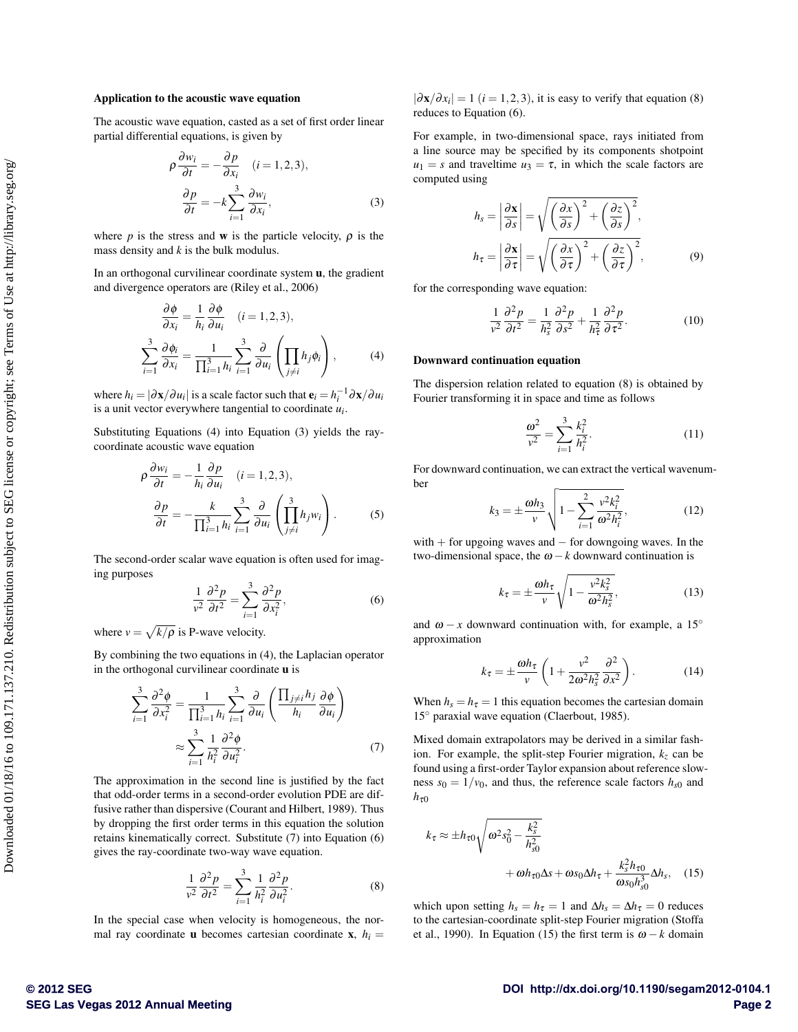#### Application to the acoustic wave equation

The acoustic wave equation, casted as a set of first order linear partial differential equations, is given by

$$
\rho \frac{\partial w_i}{\partial t} = -\frac{\partial p}{\partial x_i} \quad (i = 1, 2, 3),
$$

$$
\frac{\partial p}{\partial t} = -k \sum_{i=1}^3 \frac{\partial w_i}{\partial x_i},
$$
(3)

where *p* is the stress and **w** is the particle velocity,  $\rho$  is the mass density and *k* is the bulk modulus.

In an orthogonal curvilinear coordinate system u, the gradient and divergence operators are (Riley et al., 2006)

$$
\frac{\partial \phi}{\partial x_i} = \frac{1}{h_i} \frac{\partial \phi}{\partial u_i} \quad (i = 1, 2, 3),
$$
  

$$
\sum_{i=1}^3 \frac{\partial \phi_i}{\partial x_i} = \frac{1}{\prod_{i=1}^3 h_i} \sum_{i=1}^3 \frac{\partial}{\partial u_i} \left( \prod_{j \neq i} h_j \phi_i \right), \tag{4}
$$

where  $h_i = |\partial \mathbf{x}/\partial u_i|$  is a scale factor such that  $\mathbf{e}_i = h_i^{-1} \partial \mathbf{x}/\partial u_i$ is a unit vector everywhere tangential to coordinate *ui* .

Substituting Equations (4) into Equation (3) yields the raycoordinate acoustic wave equation

$$
\rho \frac{\partial w_i}{\partial t} = -\frac{1}{h_i} \frac{\partial p}{\partial u_i} \quad (i = 1, 2, 3),
$$

$$
\frac{\partial p}{\partial t} = -\frac{k}{\prod_{i=1}^3 h_i} \sum_{i=1}^3 \frac{\partial}{\partial u_i} \left( \prod_{j \neq i}^3 h_j w_i \right). \tag{5}
$$

The second-order scalar wave equation is often used for imaging purposes

$$
\frac{1}{v^2} \frac{\partial^2 p}{\partial t^2} = \sum_{i=1}^3 \frac{\partial^2 p}{\partial x_i^2},\tag{6}
$$

where  $v = \sqrt{k/\rho}$  is P-wave velocity.

By combining the two equations in (4), the Laplacian operator in the orthogonal curvilinear coordinate  $\bf{u}$  is

$$
\sum_{i=1}^{3} \frac{\partial^2 \phi}{\partial x_i^2} = \frac{1}{\prod_{i=1}^{3} h_i} \sum_{i=1}^{3} \frac{\partial}{\partial u_i} \left( \frac{\prod_{j \neq i} h_j}{h_i} \frac{\partial \phi}{\partial u_i} \right)
$$

$$
\approx \sum_{i=1}^{3} \frac{1}{h_i^2} \frac{\partial^2 \phi}{\partial u_i^2}.
$$
(7)

The approximation in the second line is justified by the fact that odd-order terms in a second-order evolution PDE are diffusive rather than dispersive (Courant and Hilbert, 1989). Thus by dropping the first order terms in this equation the solution retains kinematically correct. Substitute (7) into Equation (6) gives the ray-coordinate two-way wave equation.

$$
\frac{1}{v^2}\frac{\partial^2 p}{\partial t^2} = \sum_{i=1}^3 \frac{1}{h_i^2} \frac{\partial^2 p}{\partial u_i^2}.
$$
 (8)

In the special case when velocity is homogeneous, the normal ray coordinate **u** becomes cartesian coordinate **x**,  $h_i =$ 

 $|\partial \mathbf{x}/\partial x_i| = 1$  (*i* = 1,2,3), it is easy to verify that equation (8) reduces to Equation (6).

For example, in two-dimensional space, rays initiated from a line source may be specified by its components shotpoint  $u_1 = s$  and traveltime  $u_3 = \tau$ , in which the scale factors are computed using

$$
h_{s} = \left| \frac{\partial \mathbf{x}}{\partial s} \right| = \sqrt{\left( \frac{\partial x}{\partial s} \right)^{2} + \left( \frac{\partial z}{\partial s} \right)^{2}},
$$

$$
h_{\tau} = \left| \frac{\partial \mathbf{x}}{\partial \tau} \right| = \sqrt{\left( \frac{\partial x}{\partial \tau} \right)^{2} + \left( \frac{\partial z}{\partial \tau} \right)^{2}},
$$
(9)

for the corresponding wave equation:

$$
\frac{1}{v^2}\frac{\partial^2 p}{\partial t^2} = \frac{1}{h_s^2}\frac{\partial^2 p}{\partial s^2} + \frac{1}{h_\tau^2}\frac{\partial^2 p}{\partial \tau^2}.
$$
 (10)

#### Downward continuation equation

The dispersion relation related to equation (8) is obtained by Fourier transforming it in space and time as follows

$$
\frac{\omega^2}{v^2} = \sum_{i=1}^3 \frac{k_i^2}{h_i^2}.
$$
 (11)

For downward continuation, we can extract the vertical wavenumber

$$
k_3 = \pm \frac{\omega h_3}{v} \sqrt{1 - \sum_{i=1}^2 \frac{v^2 k_i^2}{\omega^2 h_i^2}},
$$
 (12)

with  $+$  for upgoing waves and  $-$  for downgoing waves. In the two-dimensional space, the  $\omega - k$  downward continuation is

$$
k_{\tau} = \pm \frac{\omega h_{\tau}}{v} \sqrt{1 - \frac{v^2 k_s^2}{\omega^2 h_s^2}},
$$
\n(13)

and  $\omega - x$  downward continuation with, for example, a 15<sup>°</sup> approximation

$$
k_{\tau} = \pm \frac{\omega h_{\tau}}{v} \left( 1 + \frac{v^2}{2\omega^2 h_s^2} \frac{\partial^2}{\partial x^2} \right). \tag{14}
$$

When  $h_s = h_\tau = 1$  this equation becomes the cartesian domain 15<sup>°</sup> paraxial wave equation (Claerbout, 1985).

Mixed domain extrapolators may be derived in a similar fashion. For example, the split-step Fourier migration,  $k_z$  can be found using a first-order Taylor expansion about reference slowness  $s_0 = 1/v_0$ , and thus, the reference scale factors  $h_{s0}$  and  $h_{\tau0}$ 

$$
k_{\tau} \approx \pm h_{\tau 0} \sqrt{\omega^2 s_0^2 - \frac{k_s^2}{h_{s0}^2}} + \omega h_{\tau 0} \Delta s + \omega s_0 \Delta h_{\tau} + \frac{k_s^2 h_{\tau 0}}{\omega s_0 h_{s0}^3} \Delta h_s, \quad (15)
$$

which upon setting  $h_s = h_\tau = 1$  and  $\Delta h_s = \Delta h_\tau = 0$  reduces to the cartesian-coordinate split-step Fourier migration (Stoffa et al., 1990). In Equation (15) the first term is  $\omega - k$  domain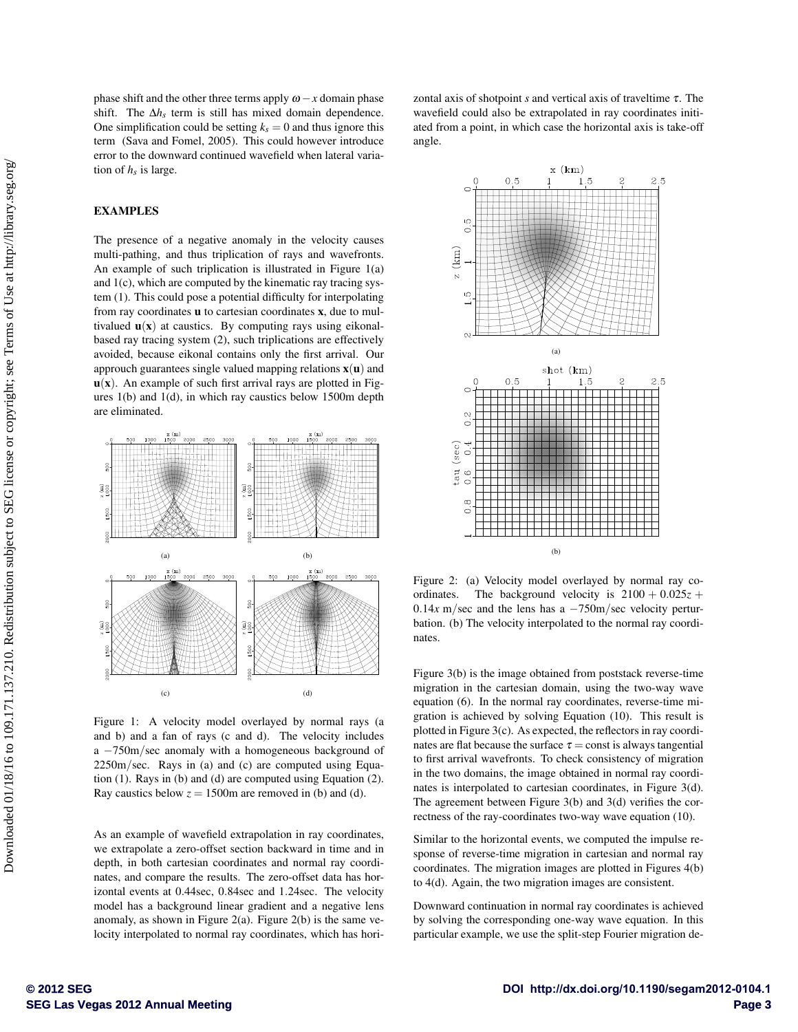phase shift and the other three terms apply  $\omega - x$  domain phase shift. The ∆*hs* term is still has mixed domain dependence. One simplification could be setting  $k_s = 0$  and thus ignore this term (Sava and Fomel, 2005). This could however introduce error to the downward continued wavefield when lateral variation of  $h<sub>s</sub>$  is large.

## EXAMPLES

The presence of a negative anomaly in the velocity causes multi-pathing, and thus triplication of rays and wavefronts. An example of such triplication is illustrated in Figure 1(a) and 1(c), which are computed by the kinematic ray tracing system (1). This could pose a potential difficulty for interpolating from ray coordinates u to cartesian coordinates x, due to multivalued  $\mathbf{u}(\mathbf{x})$  at caustics. By computing rays using eikonalbased ray tracing system (2), such triplications are effectively avoided, because eikonal contains only the first arrival. Our approuch guarantees single valued mapping relations  $x(u)$  and  $u(x)$ . An example of such first arrival rays are plotted in Figures 1(b) and 1(d), in which ray caustics below 1500m depth are eliminated.



Figure 1: A velocity model overlayed by normal rays (a and b) and a fan of rays (c and d). The velocity includes a −750m/sec anomaly with a homogeneous background of 2250m/sec. Rays in (a) and (c) are computed using Equation (1). Rays in (b) and (d) are computed using Equation (2). Ray caustics below  $z = 1500$ m are removed in (b) and (d).

As an example of wavefield extrapolation in ray coordinates, we extrapolate a zero-offset section backward in time and in depth, in both cartesian coordinates and normal ray coordinates, and compare the results. The zero-offset data has horizontal events at 0.44sec, 0.84sec and 1.24sec. The velocity model has a background linear gradient and a negative lens anomaly, as shown in Figure 2(a). Figure 2(b) is the same velocity interpolated to normal ray coordinates, which has horizontal axis of shotpoint *s* and vertical axis of traveltime τ. The wavefield could also be extrapolated in ray coordinates initiated from a point, in which case the horizontal axis is take-off angle.



Figure 2: (a) Velocity model overlayed by normal ray coordinates. The background velocity is  $2100 + 0.025z +$ 0.14*x* m/sec and the lens has a −750m/sec velocity perturbation. (b) The velocity interpolated to the normal ray coordinates.

Figure 3(b) is the image obtained from poststack reverse-time migration in the cartesian domain, using the two-way wave equation (6). In the normal ray coordinates, reverse-time migration is achieved by solving Equation (10). This result is plotted in Figure 3(c). As expected, the reflectors in ray coordinates are flat because the surface  $\tau$  = const is always tangential to first arrival wavefronts. To check consistency of migration in the two domains, the image obtained in normal ray coordinates is interpolated to cartesian coordinates, in Figure 3(d). The agreement between Figure 3(b) and 3(d) verifies the correctness of the ray-coordinates two-way wave equation (10).

Similar to the horizontal events, we computed the impulse response of reverse-time migration in cartesian and normal ray coordinates. The migration images are plotted in Figures 4(b) to 4(d). Again, the two migration images are consistent.

Downward continuation in normal ray coordinates is achieved by solving the corresponding one-way wave equation. In this particular example, we use the split-step Fourier migration de-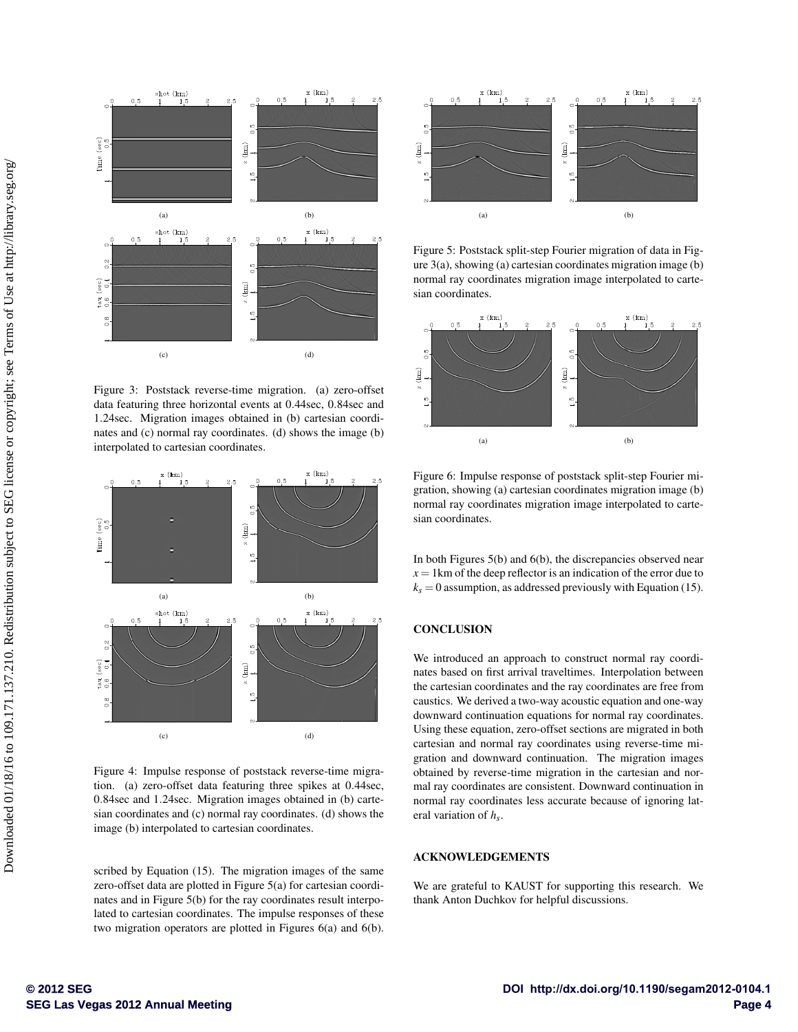

Figure 3: Poststack reverse-time migration. (a) zero-offset data featuring three horizontal events at 0.44sec, 0.84sec and 1.24sec. Migration images obtained in (b) cartesian coordinates and (c) normal ray coordinates. (d) shows the image (b) interpolated to cartesian coordinates.



Figure 4: Impulse response of poststack reverse-time migration. (a) zero-offset data featuring three spikes at 0.44sec, 0.84sec and 1.24sec. Migration images obtained in (b) cartesian coordinates and (c) normal ray coordinates. (d) shows the image (b) interpolated to cartesian coordinates.

scribed by Equation (15). The migration images of the same zero-offset data are plotted in Figure 5(a) for cartesian coordinates and in Figure 5(b) for the ray coordinates result interpolated to cartesian coordinates. The impulse responses of these two migration operators are plotted in Figures 6(a) and 6(b).



Figure 5: Poststack split-step Fourier migration of data in Figure 3(a), showing (a) cartesian coordinates migration image (b) normal ray coordinates migration image interpolated to cartesian coordinates.



Figure 6: Impulse response of poststack split-step Fourier migration, showing (a) cartesian coordinates migration image (b) normal ray coordinates migration image interpolated to cartesian coordinates.

In both Figures 5(b) and 6(b), the discrepancies observed near  $x = 1$  km of the deep reflector is an indication of the error due to  $k<sub>s</sub> = 0$  assumption, as addressed previously with Equation (15).

# **CONCLUSION**

We introduced an approach to construct normal ray coordinates based on first arrival traveltimes. Interpolation between the cartesian coordinates and the ray coordinates are free from caustics. We derived a two-way acoustic equation and one-way downward continuation equations for normal ray coordinates. Using these equation, zero-offset sections are migrated in both cartesian and normal ray coordinates using reverse-time migration and downward continuation. The migration images obtained by reverse-time migration in the cartesian and normal ray coordinates are consistent. Downward continuation in normal ray coordinates less accurate because of ignoring lateral variation of *hs*.

## ACKNOWLEDGEMENTS

We are grateful to KAUST for supporting this research. We thank Anton Duchkov for helpful discussions.